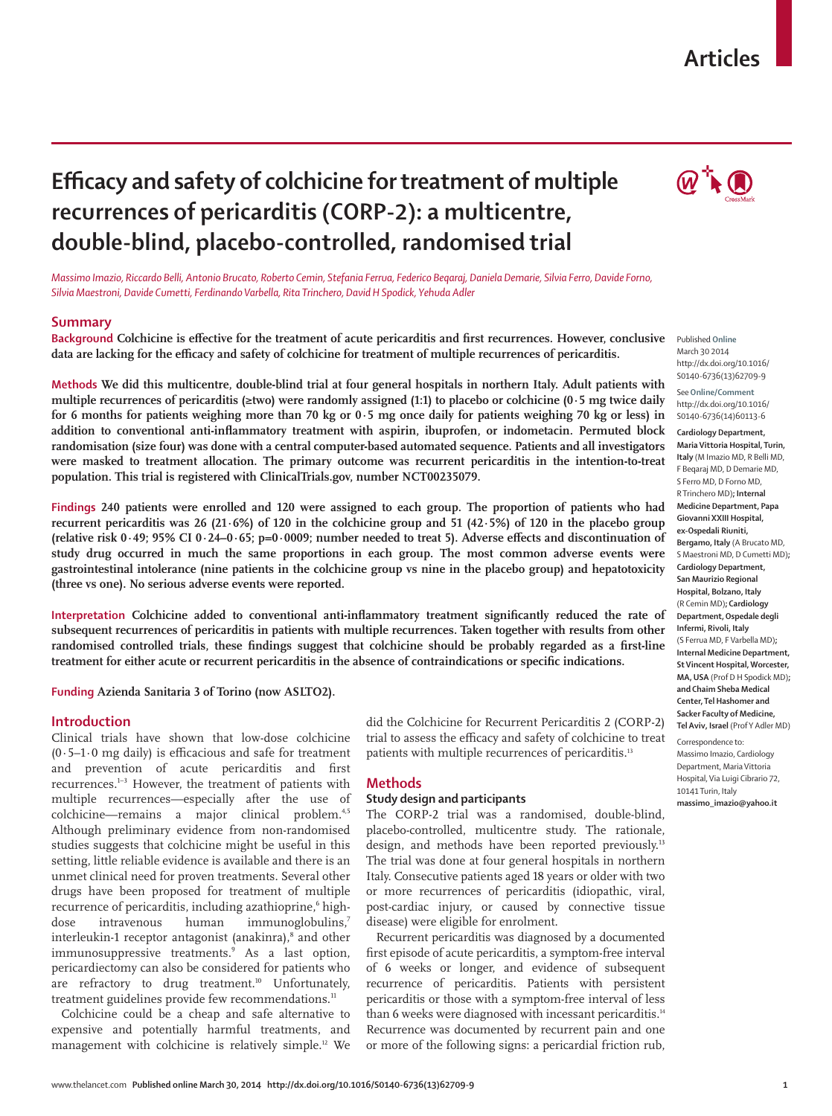# **Articles**

# **Efficacy and safety of colchicine for treatment of multiple recurrences of pericarditis (CORP-2): a multicentre, double-blind, placebo-controlled, randomised trial**



*Massimo Imazio, Riccardo Belli, Antonio Brucato, Roberto Cemin, Stefania Ferrua, Federico Beqaraj, Daniela Demarie, Silvia Ferro, Davide Forno, Silvia Maestroni, Davide Cumetti, Ferdinando Varbella, Rita Trinchero, David H Spodick, Yehuda Adler*

#### **Summary**

Background Colchicine is effective for the treatment of acute pericarditis and first recurrences. However, conclusive data are lacking for the efficacy and safety of colchicine for treatment of multiple recurrences of pericarditis.

**Methods We did this multicentre, double-blind trial at four general hospitals in northern Italy. Adult patients with multiple recurrences of pericarditis (≥two) were randomly assigned (1:1) to placebo or colchicine (0·5 mg twice daily for 6 months for patients weighing more than 70 kg or 0·5 mg once daily for patients weighing 70 kg or less) in addition to conventional anti-inflammatory treatment with aspirin, ibuprofen, or indometacin. Permuted block randomisation (size four) was done with a central computer-based automated sequence. Patients and all investigators were masked to treatment allocation. The primary outcome was recurrent pericarditis in the intention-to-treat population. This trial is registered with ClinicalTrials.gov, number NCT00235079.**

**Findings 240 patients were enrolled and 120 were assigned to each group. The proportion of patients who had recurrent pericarditis was 26 (21·6%) of 120 in the colchicine group and 51 (42·5%) of 120 in the placebo group**  (relative risk  $0.49$ ;  $95\%$  CI  $0.24-0.65$ ;  $p=0.0009$ ; number needed to treat 5). Adverse effects and discontinuation of **study drug occurred in much the same proportions in each group. The most common adverse events were gastrointestinal intolerance (nine patients in the colchicine group vs nine in the placebo group) and hepatotoxicity (three vs one). No serious adverse events were reported.**

Interpretation Colchicine added to conventional anti-inflammatory treatment significantly reduced the rate of **subsequent recurrences of pericarditis in patients with multiple recurrences. Taken together with results from other**  randomised controlled trials, these findings suggest that colchicine should be probably regarded as a first-line treatment for either acute or recurrent pericarditis in the absence of contraindications or specific indications.

**Funding Azienda Sanitaria 3 of Torino (now ASLTO2).**

# **Introduction**

Clinical trials have shown that low-dose colchicine  $(0.5-1.0 \text{ mg daily})$  is efficacious and safe for treatment and prevention of acute pericarditis and first recurrences.<sup>1-3</sup> However, the treatment of patients with multiple recurrences—especially after the use of colchicine—remains a major clinical problem.<sup>4,5</sup> Although preliminary evidence from non-randomised studies suggests that colchicine might be useful in this setting, little reliable evidence is available and there is an unmet clinical need for proven treatments. Several other drugs have been proposed for treatment of multiple recurrence of pericarditis, including azathioprine,<sup>6</sup> highdose intravenous human immunoglobulins,<sup>7</sup> interleukin-1 receptor antagonist (anakinra),<sup>8</sup> and other immuno suppressive treatments.<sup>9</sup> As a last option, pericardiectomy can also be considered for patients who are refractory to drug treatment.<sup>10</sup> Unfortunately, treatment guidelines provide few recommendations.<sup>11</sup>

Colchicine could be a cheap and safe alternative to expensive and potentially harmful treatments, and management with colchicine is relatively simple.12 We

did the Colchicine for Recurrent Pericarditis 2 (CORP-2) trial to assess the efficacy and safety of colchicine to treat patients with multiple recurrences of pericarditis.<sup>13</sup>

## **Methods**

# **Study design and participants**

The CORP-2 trial was a randomised, double-blind, placebo-controlled, multicentre study. The rationale, design, and methods have been reported previously.<sup>13</sup> The trial was done at four general hospitals in northern Italy. Consecutive patients aged 18 years or older with two or more recurrences of pericarditis (idiopathic, viral, post-cardiac injury, or caused by connective tissue disease) were eligible for enrolment.

Recurrent pericarditis was diagnosed by a documented first episode of acute pericarditis, a symptom-free interval of 6 weeks or longer, and evidence of subsequent recurrence of pericarditis. Patients with persistent pericarditis or those with a symptom-free interval of less than 6 weeks were diagnosed with incessant pericarditis.<sup>14</sup> Recurrence was documented by recurrent pain and one or more of the following signs: a pericardial friction rub,

Published **Online** March 30 2014 http://dx.doi.org/10.1016/ S0140-6736(13)62709-9

See**Online/Comment** http://dx.doi.org/10.1016/ S0140-6736(14)60113-6

**Cardiology Department, Maria Vittoria Hospital, Turin, Italy** (M Imazio MD, R Belli MD, F Beqaraj MD, D Demarie MD, S Ferro MD, D Forno MD, R Trinchero MD)**; Internal Medicine Department, Papa Giovanni XXIII Hospital, ex-Ospedali Riuniti, Bergamo, Italy** (A Brucato MD, S Maestroni MD, D Cumetti MD)**; Cardiology Department, San Maurizio Regional Hospital, Bolzano, Italy** (R Cemin MD)**; Cardiology Department, Ospedale degli Infermi, Rivoli, Italy** (S Ferrua MD, F Varbella MD)**; Internal Medicine Department, St Vincent Hospital, Worcester, MA, USA** (Prof D H Spodick MD)**; and Chaim Sheba Medical Center, Tel Hashomer and Sacker Faculty of Medicine, Tel Aviv, Israel** (Prof Y Adler MD)

Correspondence to: Massimo Imazio, Cardiology Department, Maria Vittoria Hospital, Via Luigi Cibrario 72, 10141 Turin, Italy **massimo\_imazio@yahoo.it**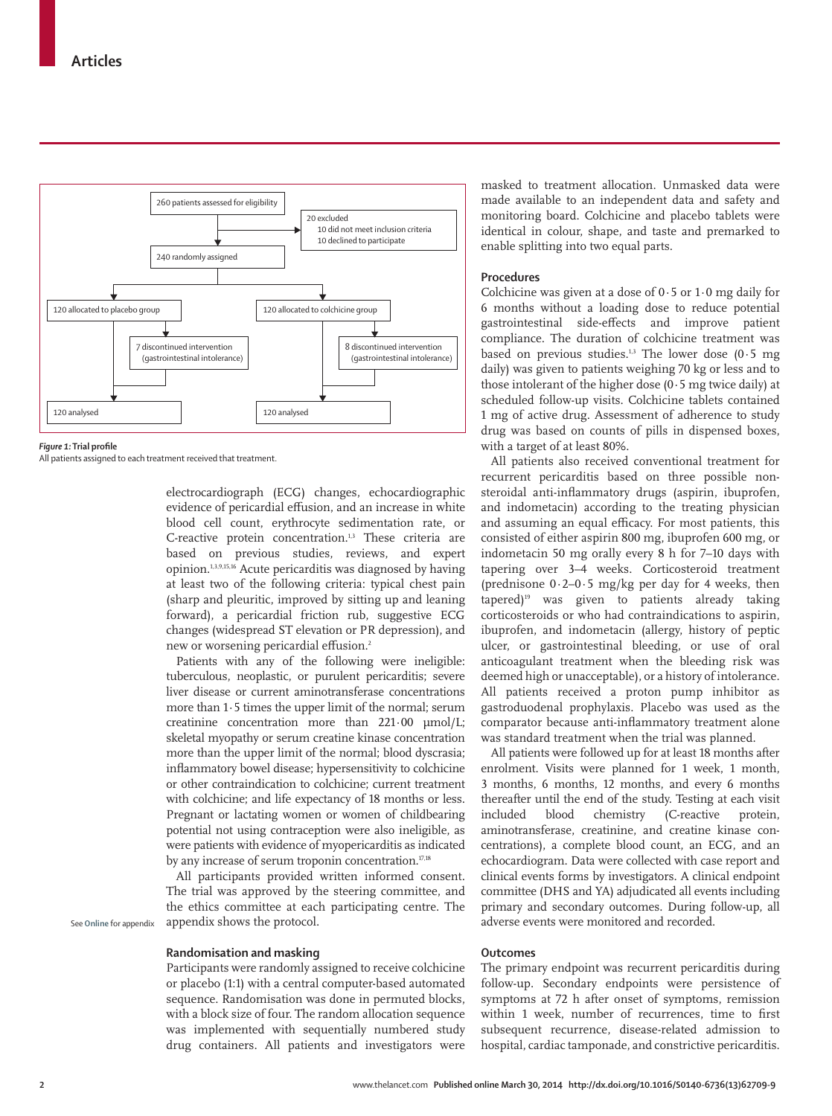

#### **Figure 1:** Trial profile

All patients assigned to each treatment received that treatment.

electrocardiograph (ECG) changes, echocardiographic evidence of pericardial effusion, and an increase in white blood cell count, erythrocyte sedimentation rate, or C-reactive protein concentration.<sup>1,3</sup> These criteria are based on previous studies, reviews, and expert opinion.1,3,9,15,16 Acute pericarditis was diagnosed by having at least two of the following criteria: typical chest pain (sharp and pleuritic, improved by sitting up and leaning forward), a pericardial friction rub, suggestive ECG changes (widespread ST elevation or PR depression), and new or worsening pericardial effusion.<sup>2</sup>

Patients with any of the following were ineligible: tuberculous, neoplastic, or purulent pericarditis; severe liver disease or current aminotransferase concentrations more than 1·5 times the upper limit of the normal; serum creatinine concentration more than 221·00 μmol/L; skeletal myopathy or serum creatine kinase concentration more than the upper limit of the normal; blood dyscrasia; inflammatory bowel disease; hypersensitivity to colchicine or other contraindication to colchicine; current treatment with colchicine; and life expectancy of 18 months or less. Pregnant or lactating women or women of childbearing potential not using contraception were also ineligible, as were patients with evidence of myopericarditis as indicated by any increase of serum troponin concentration.<sup>17,18</sup>

All participants provided written informed consent. The trial was approved by the steering committee, and the ethics committee at each participating centre. The appendix shows the protocol.

**Randomisation and masking**

Participants were randomly assigned to receive colchicine or placebo (1:1) with a central computer-based automated sequence. Randomisation was done in permuted blocks, with a block size of four. The random allocation sequence was implemented with sequentially numbered study drug containers. All patients and investigators were masked to treatment allocation. Unmasked data were made available to an independent data and safety and monitoring board. Colchicine and placebo tablets were identical in colour, shape, and taste and premarked to enable splitting into two equal parts.

### **Procedures**

Colchicine was given at a dose of  $0.5$  or  $1.0$  mg daily for 6 months without a loading dose to reduce potential gastrointestinal side-effects and improve patient compliance. The duration of colchicine treatment was based on previous studies.<sup>1,3</sup> The lower dose  $(0.5 \text{ mg})$ daily) was given to patients weighing 70 kg or less and to those intolerant of the higher dose  $(0.5 \text{ mg twice daily})$  at scheduled follow-up visits. Colchicine tablets contained 1 mg of active drug. Assessment of adherence to study drug was based on counts of pills in dispensed boxes, with a target of at least 80%.

All patients also received conventional treatment for recurrent pericarditis based on three possible nonsteroidal anti-inflammatory drugs (aspirin, ibuprofen, and indometacin) according to the treating physician and assuming an equal efficacy. For most patients, this consisted of either aspirin 800 mg, ibuprofen 600 mg, or indometacin 50 mg orally every 8 h for 7–10 days with tapering over 3–4 weeks. Corticosteroid treatment (prednisone  $0.2-0.5$  mg/kg per day for 4 weeks, then tapered)19 was given to patients already taking corticosteroids or who had contraindications to aspirin, ibuprofen, and indometacin (allergy, history of peptic ulcer, or gastrointestinal bleeding, or use of oral anticoagulant treatment when the bleeding risk was deemed high or unacceptable), or a history of intolerance. All patients received a proton pump inhibitor as gastroduodenal prophylaxis. Placebo was used as the comparator because anti-inflammatory treatment alone was standard treatment when the trial was planned.

All patients were followed up for at least 18 months after enrolment. Visits were planned for 1 week, 1 month, 3 months, 6 months, 12 months, and every 6 months thereafter until the end of the study. Testing at each visit included blood chemistry (C-reactive protein, aminotransferase, creatinine, and creatine kinase concentrations), a complete blood count, an ECG, and an echocardiogram. Data were collected with case report and clinical events forms by investigators. A clinical endpoint committee (DHS and YA) adjudicated all events including primary and secondary outcomes. During follow-up, all adverse events were monitored and recorded.

#### **Outcomes**

The primary endpoint was recurrent pericarditis during follow-up. Secondary endpoints were persistence of symptoms at 72 h after onset of symptoms, remission within 1 week, number of recurrences, time to first subsequent recurrence, disease-related admission to hospital, cardiac tamponade, and constrictive pericarditis.

See **Online** for appendix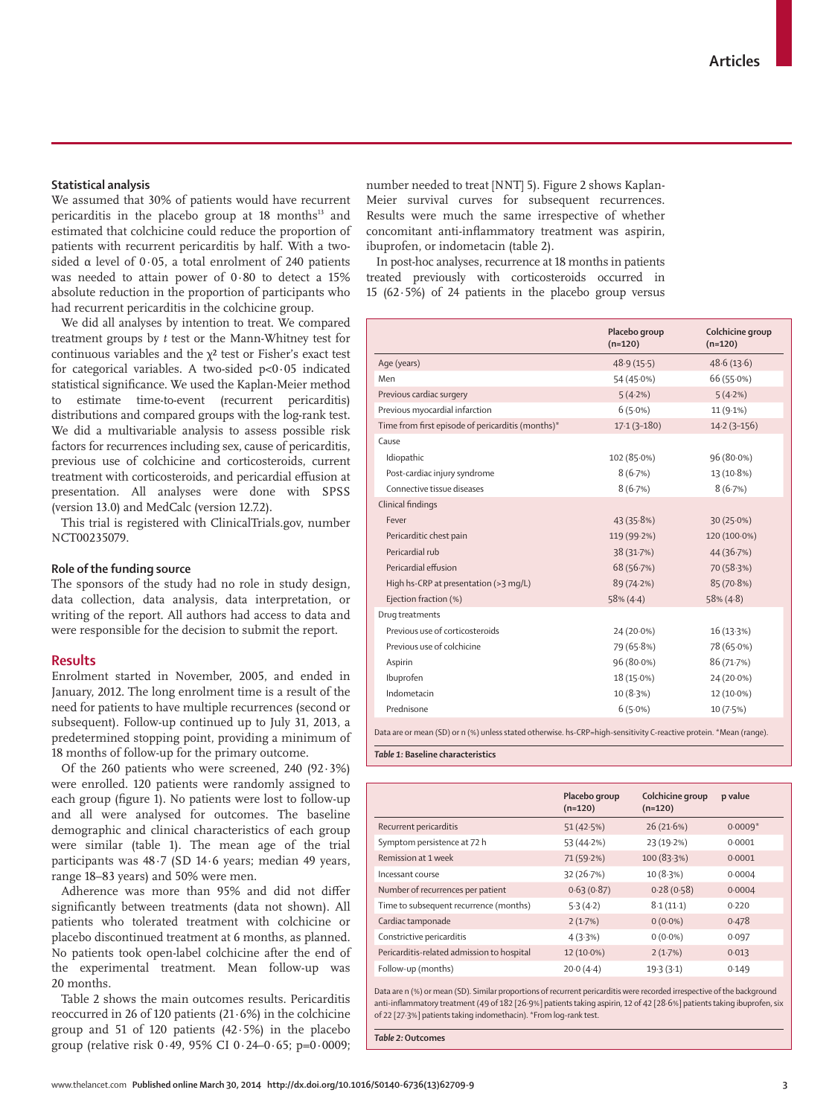### **Statistical analysis**

We assumed that 30% of patients would have recurrent pericarditis in the placebo group at 18 months<sup>13</sup> and estimated that colchicine could reduce the proportion of patients with recurrent pericarditis by half. With a twosided α level of 0·05, a total enrolment of 240 patients was needed to attain power of 0·80 to detect a 15% absolute reduction in the proportion of participants who had recurrent pericarditis in the colchicine group.

We did all analyses by intention to treat. We compared treatment groups by *t* test or the Mann-Whitney test for continuous variables and the  $\chi^2$  test or Fisher's exact test for categorical variables. A two-sided p<0·05 indicated statistical significance. We used the Kaplan-Meier method to estimate time-to-event (recurrent pericarditis) distributions and compared groups with the log-rank test. We did a multivariable analysis to assess possible risk factors for recurrences including sex, cause of pericarditis, previous use of colchicine and corticosteroids, current treatment with corticosteroids, and pericardial effusion at presentation. All analyses were done with SPSS (version 13.0) and MedCalc (version 12.7.2).

This trial is registered with ClinicalTrials.gov, number NCT00235079.

#### **Role of the funding source**

The sponsors of the study had no role in study design, data collection, data analysis, data interpretation, or writing of the report. All authors had access to data and were responsible for the decision to submit the report.

# **Results**

Enrolment started in November, 2005, and ended in January, 2012. The long enrolment time is a result of the need for patients to have multiple recurrences (second or subsequent). Follow-up continued up to July 31, 2013, a predetermined stopping point, providing a minimum of 18 months of follow-up for the primary outcome.

Of the 260 patients who were screened, 240 (92·3%) were enrolled. 120 patients were randomly assigned to each group (figure 1). No patients were lost to follow-up and all were analysed for outcomes. The baseline demographic and clinical characteristics of each group were similar (table 1). The mean age of the trial participants was 48·7 (SD 14·6 years; median 49 years, range 18–83 years) and 50% were men.

Adherence was more than 95% and did not differ significantly between treatments (data not shown). All patients who tolerated treatment with colchicine or placebo discontinued treatment at 6 months, as planned. No patients took open-label colchicine after the end of the experimental treatment. Mean follow-up was 20 months.

Table 2 shows the main outcomes results. Pericarditis reoccurred in 26 of 120 patients (21·6%) in the colchicine group and 51 of 120 patients  $(42.5%)$  in the placebo group (relative risk  $0.49$ , 95% CI  $0.24 - 0.65$ ; p= $0.0009$ ; number needed to treat [NNT] 5). Figure 2 shows Kaplan-Meier survival curves for subsequent recurrences. Results were much the same irrespective of whether concomitant anti-inflammatory treatment was aspirin, ibuprofen, or indometacin (table 2).

In post-hoc analyses, recurrence at 18 months in patients treated previously with corticosteroids occurred in 15 (62 $\cdot$ 5%) of 24 patients in the placebo group versus

|                                                   | Placebo group<br>$(n=120)$ | Colchicine group<br>$(n=120)$ |
|---------------------------------------------------|----------------------------|-------------------------------|
| Age (years)                                       | 48.9(15.5)                 | 48.6(13.6)                    |
| Men                                               | 54 (45.0%)                 | 66 (55.0%)                    |
| Previous cardiac surgery                          | 5(4.2%)                    | 5(4.2%)                       |
| Previous myocardial infarction                    | $6(5.0\%)$                 | 11 (9.1%)                     |
| Time from first episode of pericarditis (months)* | $17.1(3 - 180)$            | $14.2(3 - 156)$               |
| Cause                                             |                            |                               |
| Idiopathic                                        | 102 (85.0%)                | 96 (80.0%)                    |
| Post-cardiac injury syndrome                      | 8(6.7%)                    | 13 (10.8%)                    |
| Connective tissue diseases                        | 8(6.7%)                    | 8(6.7%)                       |
| Clinical findings                                 |                            |                               |
| Fever                                             | 43(35.8%)                  | 30(25.0%)                     |
| Pericarditic chest pain                           | 119 (99.2%)                | 120 (100.0%)                  |
| Pericardial rub                                   | 38 (31.7%)                 | 44 (36.7%)                    |
| Pericardial effusion                              | 68 (56.7%)                 | 70 (58.3%)                    |
| High hs-CRP at presentation (>3 mg/L)             | 89 (74.2%)                 | 85 (70.8%)                    |
| Ejection fraction (%)                             | $58\% (4.4)$               | $58\% (4.8)$                  |
| Drug treatments                                   |                            |                               |
| Previous use of corticosteroids                   | 24 (20.0%)                 | 16(13.3%)                     |
| Previous use of colchicine                        | 79 (65.8%)                 | 78 (65.0%)                    |
| Aspirin                                           | 96 (80.0%)                 | 86 (71.7%)                    |
| Ibuprofen                                         | $18(15.0\%)$               | 24 (20.0%)                    |
| Indometacin                                       | 10(8.3%)                   | $12(10.0\%)$                  |
| Prednisone                                        | $6(5.0\%)$                 | 10(7.5%)                      |

Data are or mean (SD) or n (%) unless stated otherwise. hs-CRP=high-sensitivity C-reactive protein. \*Mean (range).

 *Table 1:* **Baseline characteristics**

|                                            | Placebo group<br>$(n=120)$ | Colchicine group<br>$(n=120)$ | p value   |
|--------------------------------------------|----------------------------|-------------------------------|-----------|
| Recurrent pericarditis                     | 51(42.5%)                  | 26(21.6%)                     | $0.0009*$ |
| Symptom persistence at 72 h                | 53 (44-2%)                 | 23 (19-2%)                    | 0.0001    |
| Remission at 1 week                        | 71 (59.2%)                 | 100 (83.3%)                   | 0.0001    |
| Incessant course                           | 32(26.7%)                  | 10(8.3%)                      | 0.0004    |
| Number of recurrences per patient          | 0.63(0.87)                 | 0.28(0.58)                    | 0.0004    |
| Time to subsequent recurrence (months)     | 5.3(4.2)                   | 8.1(11.1)                     | 0.220     |
| Cardiac tamponade                          | 2(1.7%)                    | $0(0.0\%)$                    | 0.478     |
| Constrictive pericarditis                  | 4(3.3%)                    | $0(0.0\%)$                    | 0.097     |
| Pericarditis-related admission to hospital | 12 (10.0%)                 | 2(1.7%)                       | 0.013     |
| Follow-up (months)                         | 20.0(4.4)                  | 19.3(3.1)                     | 0.149     |

Data are n (%) or mean (SD). Similar proportions of recurrent pericarditis were recorded irrespective of the background anti-inflammatory treatment (49 of 182 [26·9%] patients taking aspirin, 12 of 42 [28·6%] patients taking ibuprofen, six of 22 [27·3%] patients taking indomethacin). \*From log-rank test.

*Table 2:* **Outcomes**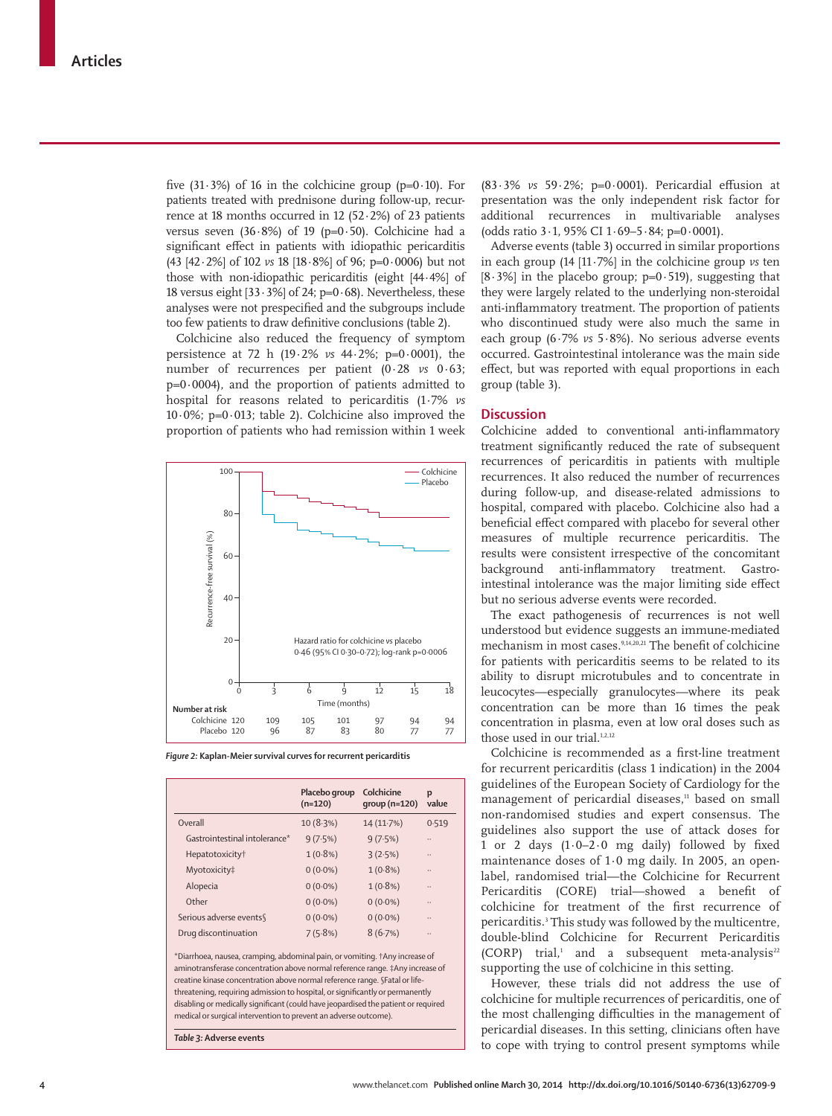five  $(31.3\%)$  of 16 in the colchicine group  $(p=0.10)$ . For patients treated with prednisone during follow-up, recurrence at 18 months occurred in 12 (52 $\cdot$ 2%) of 23 patients versus seven  $(36.8\%)$  of 19 (p=0.50). Colchicine had a significant effect in patients with idiopathic pericarditis (43 [42·2%] of 102 *vs* 18 [18·8%] of 96; p=0·0006) but not those with non-idiopathic pericarditis (eight [44·4%] of 18 versus eight  $[33.3\%]$  of 24; p=0.68). Nevertheless, these analyses were not prespecified and the subgroups include too few patients to draw definitive conclusions (table 2).

Colchicine also reduced the frequency of symptom persistence at 72 h (19·2% *vs* 44·2%; p=0·0001), the number of recurrences per patient (0·28 *vs* 0·63;  $p=0.0004$ ), and the proportion of patients admitted to hospital for reasons related to pericarditis (1·7% *vs* 10 $\cdot$ 0%; p=0 $\cdot$ 013; table 2). Colchicine also improved the proportion of patients who had remission within 1 week



*Figure 2:* **Kaplan-Meier survival curves for recurrent pericarditis**

|                                                                                                                                                                                                                                                                                                                                                                                                                                                                                        | Placebo group<br>$(n=120)$ | Colchicine<br>$group(n=120)$ | p<br>value |  |  |
|----------------------------------------------------------------------------------------------------------------------------------------------------------------------------------------------------------------------------------------------------------------------------------------------------------------------------------------------------------------------------------------------------------------------------------------------------------------------------------------|----------------------------|------------------------------|------------|--|--|
| Overall                                                                                                                                                                                                                                                                                                                                                                                                                                                                                | 10(8.3%)                   | 14 (11.7%)                   | 0.519      |  |  |
| Gastrointestinal intolerance*                                                                                                                                                                                                                                                                                                                                                                                                                                                          | 9(7.5%)                    | 9(7.5%)                      |            |  |  |
| Hepatotoxicity <sup>†</sup>                                                                                                                                                                                                                                                                                                                                                                                                                                                            | $1(0.8\%)$                 | 3(2.5%)                      |            |  |  |
| Myotoxicity‡                                                                                                                                                                                                                                                                                                                                                                                                                                                                           | $0(0.0\%)$                 | $1(0.8\%)$                   |            |  |  |
| Alopecia                                                                                                                                                                                                                                                                                                                                                                                                                                                                               | $0(0.0\%)$                 | $1(0.8\%)$                   |            |  |  |
| Other                                                                                                                                                                                                                                                                                                                                                                                                                                                                                  | $0(0.0\%)$                 | $0(0.0\%)$                   |            |  |  |
| Serious adverse events                                                                                                                                                                                                                                                                                                                                                                                                                                                                 | $0(0.0\%)$                 | $0(0.0\%)$                   |            |  |  |
| Drug discontinuation                                                                                                                                                                                                                                                                                                                                                                                                                                                                   | 7(5.8%)                    | 8(6.7%)                      |            |  |  |
| *Diarrhoea, nausea, cramping, abdominal pain, or vomiting. †Any increase of<br>aminotransferase concentration above normal reference range. #Any increase of<br>creatine kinase concentration above normal reference range. §Fatal or life-<br>threatening, requiring admission to hospital, or significantly or permanently<br>disabling or medically significant (could have jeopardised the patient or required<br>medical or surgical intervention to prevent an adverse outcome). |                            |                              |            |  |  |

*Table 3:* **Adverse events**

(83.3% *vs* 59.2%; p=0.0001). Pericardial effusion at presentation was the only independent risk factor for additional recurrences in multivariable analyses (odds ratio  $3 \cdot 1$ , 95% CI  $1 \cdot 69 - 5 \cdot 84$ ; p=0 $\cdot 0001$ ).

Adverse events (table 3) occurred in similar proportions in each group (14 [11·7%] in the colchicine group *vs* ten  $[8.3\%]$  in the placebo group; p=0.519), suggesting that they were largely related to the underlying non-steroidal anti-inflammatory treatment. The proportion of patients who discontinued study were also much the same in each group (6·7% *vs* 5·8%). No serious adverse events occurred. Gastrointestinal intolerance was the main side effect, but was reported with equal proportions in each group (table 3).

# **Discussion**

Colchicine added to conventional anti-inflammatory treatment significantly reduced the rate of subsequent recurrences of pericarditis in patients with multiple recurrences. It also reduced the number of recurrences during follow-up, and disease-related admissions to hospital, compared with placebo. Colchicine also had a beneficial effect compared with placebo for several other measures of multiple recurrence pericarditis. The results were consistent irrespective of the concomitant background anti-inflammatory treatment. Gastrointestinal intolerance was the major limiting side effect but no serious adverse events were recorded.

The exact pathogenesis of recurrences is not well understood but evidence suggests an immune-mediated mechanism in most cases.<sup>9,14,20,21</sup> The benefit of colchicine for patients with pericarditis seems to be related to its ability to disrupt microtubules and to concentrate in leucocytes—especially granulocytes—where its peak concentration can be more than 16 times the peak concentration in plasma, even at low oral doses such as those used in our trial.<sup>1,2,12</sup>

Colchicine is recommended as a first-line treatment for recurrent pericarditis (class 1 indication) in the 2004 guidelines of the European Society of Cardiology for the management of pericardial diseases, $11$  based on small non-randomised studies and expert consensus. The guidelines also support the use of attack doses for 1 or 2 days  $(1.0-2.0 \text{ mg daily})$  followed by fixed maintenance doses of 1·0 mg daily. In 2005, an openlabel, randomised trial—the Colchicine for Recurrent Pericarditis (CORE) trial—showed a benefit of colchicine for treatment of the first recurrence of pericarditis.<sup>3</sup> This study was followed by the multicentre, double-blind Colchicine for Recurrent Pericarditis  $(CORP)$  trial,<sup>1</sup> and a subsequent meta-analysis<sup>22</sup> supporting the use of colchicine in this setting.

However, these trials did not address the use of colchicine for multiple recurrences of pericarditis, one of the most challenging difficulties in the management of pericardial diseases. In this setting, clinicians often have to cope with trying to control present symptoms while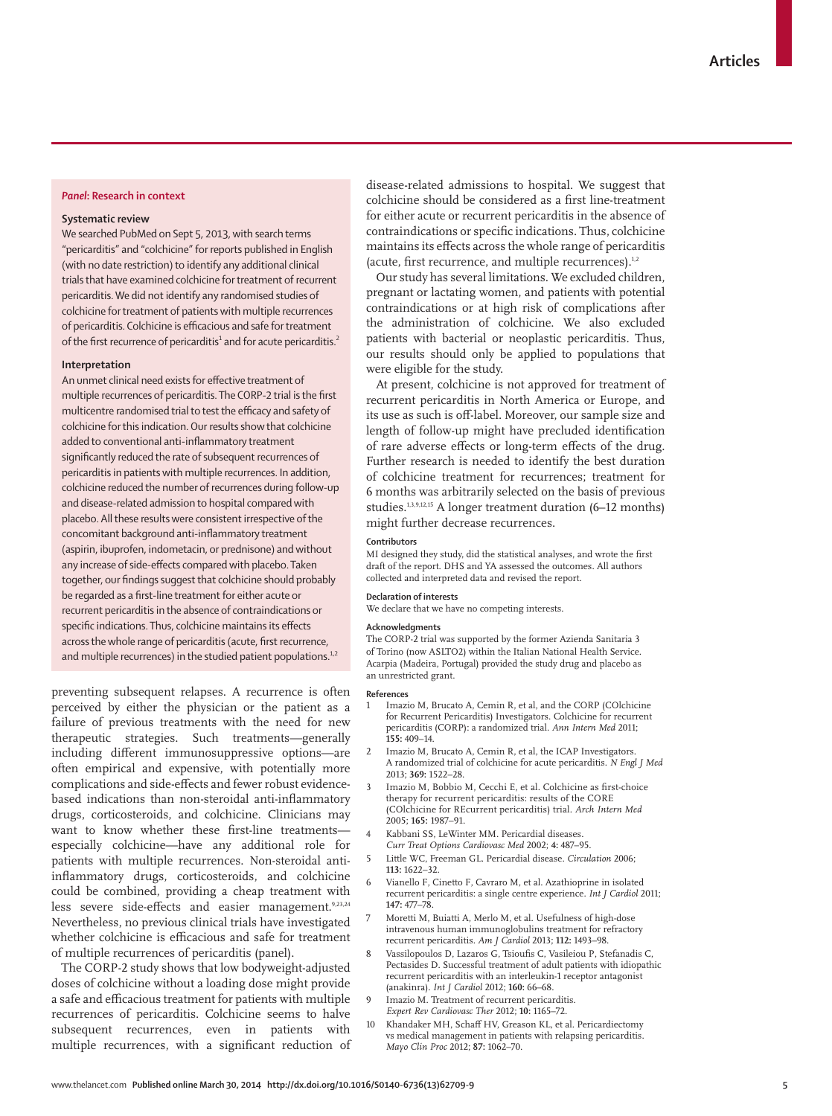## *Panel***: Research in context**

### **Systematic review**

We searched PubMed on Sept 5, 2013, with search terms "pericarditis" and "colchicine" for reports published in English (with no date restriction) to identify any additional clinical trials that have examined colchicine for treatment of recurrent pericarditis. We did not identify any randomised studies of colchicine for treatment of patients with multiple recurrences of pericarditis. Colchicine is efficacious and safe for treatment of the first recurrence of pericarditis $^1$  and for acute pericarditis. $^2$ 

#### **Interpretation**

An unmet clinical need exists for effective treatment of multiple recurrences of pericarditis. The CORP-2 trial is the first multicentre randomised trial to test the efficacy and safety of colchicine for this indication. Our results show that colchicine added to conventional anti-inflammatory treatment significantly reduced the rate of subsequent recurrences of pericarditis in patients with multiple recurrences. In addition, colchicine reduced the number of recurrences during follow-up and disease-related admission to hospital compared with placebo. All these results were consistent irrespective of the concomitant background anti-inflammatory treatment (aspirin, ibuprofen, indometacin, or prednisone) and without any increase of side-effects compared with placebo. Taken together, our findings suggest that colchicine should probably be regarded as a first-line treatment for either acute or recurrent pericarditis in the absence of contraindications or specific indications. Thus, colchicine maintains its effects across the whole range of pericarditis (acute, first recurrence, and multiple recurrences) in the studied patient populations.<sup>1,2</sup>

preventing subsequent relapses. A recurrence is often perceived by either the physician or the patient as a failure of previous treatments with the need for new therapeutic strategies. Such treatments—generally including different immunosuppressive options-are often empirical and expensive, with potentially more complications and side-effects and fewer robust evidencebased indications than non-steroidal anti-inflammatory drugs, corticosteroids, and colchicine. Clinicians may want to know whether these first-line treatmentsespecially colchicine—have any additional role for patients with multiple recurrences. Non-steroidal antiinflammatory drugs, corticosteroids, and colchicine could be combined, providing a cheap treatment with less severe side-effects and easier management.9,23,24 Nevertheless, no previous clinical trials have investigated whether colchicine is efficacious and safe for treatment of multiple recurrences of pericarditis (panel).

The CORP-2 study shows that low bodyweight-adjusted doses of colchicine without a loading dose might provide a safe and efficacious treatment for patients with multiple recurrences of pericarditis. Colchicine seems to halve subsequent recurrences, even in patients with multiple recurrences, with a significant reduction of disease-related admissions to hospital. We suggest that colchicine should be considered as a first line-treatment for either acute or recurrent pericarditis in the absence of contraindications or specific indications. Thus, colchicine maintains its effects across the whole range of pericarditis (acute, first recurrence, and multiple recurrences). $1,2$ 

Our study has several limitations. We excluded children, pregnant or lactating women, and patients with potential contraindications or at high risk of complications after the administration of colchicine. We also excluded patients with bacterial or neoplastic pericarditis. Thus, our results should only be applied to populations that were eligible for the study.

At present, colchicine is not approved for treatment of recurrent pericarditis in North America or Europe, and its use as such is off -label. Moreover, our sample size and length of follow-up might have precluded identification of rare adverse effects or long-term effects of the drug. Further research is needed to identify the best duration of colchicine treatment for recurrences; treatment for 6 months was arbitrarily selected on the basis of previous studies.1,3,9,12,15 A longer treatment duration (6–12 months) might further decrease recurrences.

#### **Contributors**

MI designed they study, did the statistical analyses, and wrote the first draft of the report. DHS and YA assessed the outcomes. All authors collected and interpreted data and revised the report.

#### **Declaration of interests**

We declare that we have no competing interests.

#### **Acknowledgments**

The CORP-2 trial was supported by the former Azienda Sanitaria 3 of Torino (now ASLTO2) within the Italian National Health Service. Acarpia (Madeira, Portugal) provided the study drug and placebo as an unrestricted grant.

#### **References**

- Imazio M, Brucato A, Cemin R, et al, and the CORP (COlchicine for Recurrent Pericarditis) Investigators. Colchicine for recurrent pericarditis (CORP): a randomized trial. *Ann Intern Med* 2011; **155:** 409–14.
- 2 Imazio M, Brucato A, Cemin R, et al, the ICAP Investigators. A randomized trial of colchicine for acute pericarditis. *N Engl J Med* 2013; **369:** 1522–28.
- Imazio M, Bobbio M, Cecchi E, et al. Colchicine as first-choice therapy for recurrent pericarditis: results of the CORE (COlchicine for REcurrent pericarditis) trial. *Arch Intern Med* 2005; **165:** 1987–91.
- 4 Kabbani SS, LeWinter MM. Pericardial diseases. *Curr Treat Options Cardiovasc Med* 2002; **4:** 487–95.
- 5 Little WC, Freeman GL. Pericardial disease. *Circulation* 2006;
- **113:** 1622–32. 6 Vianello F, Cinetto F, Cavraro M, et al. Azathioprine in isolated
- recurrent pericarditis: a single centre experience. *Int J Cardiol* 2011; **147:** 477–78.
- 7 Moretti M, Buiatti A, Merlo M, et al. Usefulness of high-dose intravenous human immunoglobulins treatment for refractory recurrent pericarditis. *Am J Cardiol* 2013; **112:** 1493–98.
- Vassilopoulos D, Lazaros G, Tsioufis C, Vasileiou P, Stefanadis C, Pectasides D. Successful treatment of adult patients with idiopathic recurrent pericarditis with an interleukin-1 receptor antagonist (anakinra). *Int J Cardiol* 2012; **160:** 66–68.
- Imazio M. Treatment of recurrent pericarditis. *Expert Rev Cardiovasc Ther* 2012; **10:** 1165–72.
- 10 Khandaker MH, Schaff HV, Greason KL, et al. Pericardiectomy vs medical management in patients with relapsing pericarditis. *Mayo Clin Proc* 2012; **87:** 1062–70.